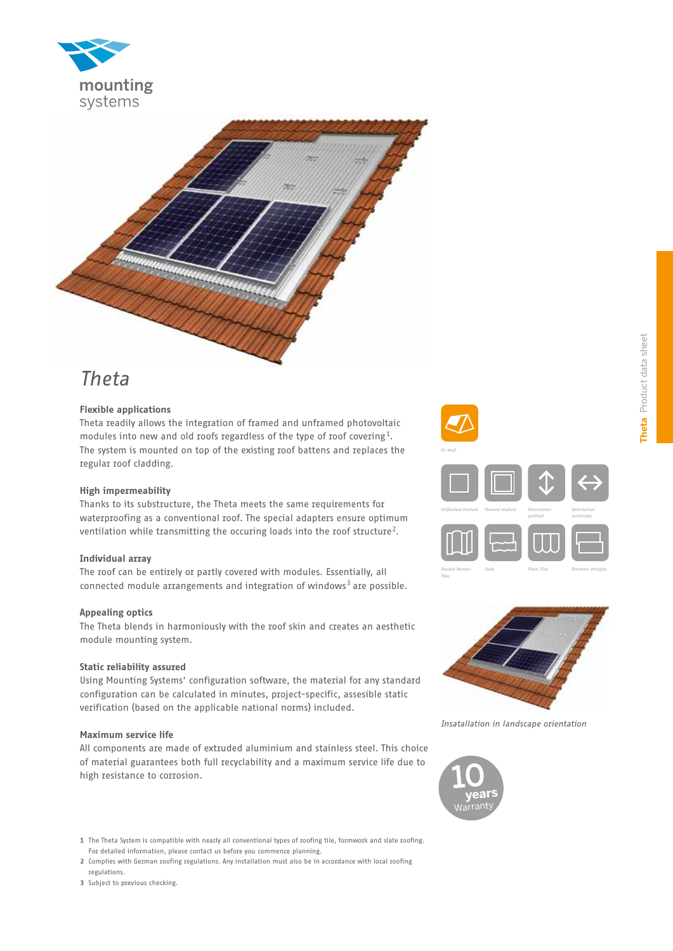



# *Theta*

## **Flexible applications**

Theta readily allows the integration of framed and unframed photovoltaic modules into new and old roofs regardless of the type of roof covering<sup>1</sup>. The system is mounted on top of the existing roof battens and replaces the regular roof cladding.

#### **High impermeability**

Thanks to its substructure, the Theta meets the same requirements for waterproofing as a conventional roof. The special adapters ensure optimum ventilation while transmitting the occuring loads into the roof structure<sup>2</sup>.

#### **Individual array**

The roof can be entirely or partly covered with modules. Essentially, all connected module arrangements and integration of windows<sup>3</sup> are possible.

### **Appealing optics**

The Theta blends in harmoniously with the roof skin and creates an aesthetic module mounting system.

#### **Static reliability assured**

Using Mounting Systems' configuration software, the material for any standard configuration can be calculated in minutes, project-specific, assesible static verification (based on the applicable national norms) included.

#### **Maximum service life**

All components are made of extruded aluminium and stainless steel. This choice of material guarantees both full recyclability and a maximum service life due to high resistance to corrosion.





*Insatallation in landscape orientation* 



**1** The Theta System is compatible with nearly all conventional types of roofing tile, formwork and slate roofing. For detailed information, please contact us before you commence planning.

**2** Complies with German roofing regulations. Any installation must also be in accordance with local roofing regulations.

**3** Subject to previous checking.